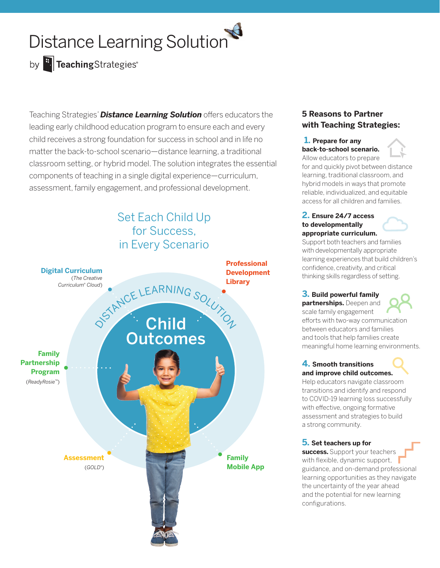# Distance Learning Solution

# by **F.** TeachingStrategies<sup>®</sup>

Teaching Strategies' *Distance Learning Solution* offers educators the leading early childhood education program to ensure each and every child receives a strong foundation for success in school and in life no matter the back-to-school scenario—distance learning, a traditional classroom setting, or hybrid model. The solution integrates the essential components of teaching in a single digital experience—curriculum, assessment, family engagement, and professional development.

# Set Each Child Up for Success, in Every Scenario



## **5 Reasons to Partner with Teaching Strategies:**

### **1. Prepare for any back-to-school scenario.**

Allow educators to prepare for and quickly pivot between distance learning, traditional classroom, and hybrid models in ways that promote reliable, individualized, and equitable access for all children and families.

#### **2. Ensure 24/7 access to developmentally appropriate curriculum.**

Support both teachers and families with developmentally appropriate learning experiences that build children's confidence, creativity, and critical thinking skills regardless of setting.

### **3. Build powerful family partnerships.** Deepen and

scale family engagement efforts with two-way communication between educators and families and tools that help families create meaningful home learning environments.

### **4. Smooth transitions and improve child outcomes.**

Help educators navigate classroom transitions and identify and respond to COVID-19 learning loss successfully with effective, ongoing formative assessment and strategies to build a strong community.

### **5. Set teachers up for**

**success.** Support your teachers with flexible, dynamic support, guidance, and on-demand professional learning opportunities as they navigate the uncertainty of the year ahead and the potential for new learning configurations.